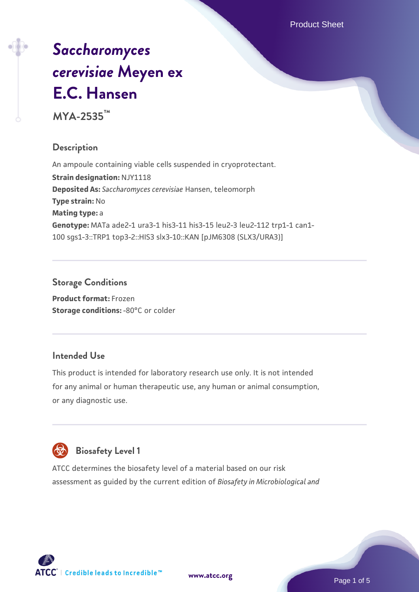Product Sheet

# *[Saccharomyces](https://www.atcc.org/products/mya-2535) [cerevisiae](https://www.atcc.org/products/mya-2535)* **[Meyen ex](https://www.atcc.org/products/mya-2535) [E.C. Hansen](https://www.atcc.org/products/mya-2535)**

**MYA-2535™**

# **Description**

An ampoule containing viable cells suspended in cryoprotectant. **Strain designation:** NJY1118 **Deposited As:** *Saccharomyces cerevisiae* Hansen, teleomorph **Type strain:** No **Mating type:** a **Genotype:** MATa ade2-1 ura3-1 his3-11 his3-15 leu2-3 leu2-112 trp1-1 can1- 100 sgs1-3::TRP1 top3-2::HIS3 slx3-10::KAN [pJM6308 (SLX3/URA3)]

# **Storage Conditions**

**Product format:** Frozen **Storage conditions: -80°C or colder** 

# **Intended Use**

This product is intended for laboratory research use only. It is not intended for any animal or human therapeutic use, any human or animal consumption, or any diagnostic use.



# **Biosafety Level 1**

ATCC determines the biosafety level of a material based on our risk assessment as guided by the current edition of *Biosafety in Microbiological and*

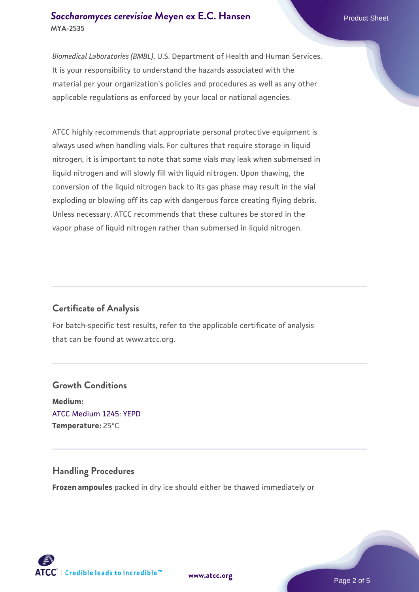## **[Saccharomyces cerevisiae](https://www.atcc.org/products/mya-2535)** [Meyen ex E.C. Hansen](https://www.atcc.org/products/mya-2535) **MYA-2535**

*Biomedical Laboratories (BMBL)*, U.S. Department of Health and Human Services. It is your responsibility to understand the hazards associated with the material per your organization's policies and procedures as well as any other applicable regulations as enforced by your local or national agencies.

ATCC highly recommends that appropriate personal protective equipment is always used when handling vials. For cultures that require storage in liquid nitrogen, it is important to note that some vials may leak when submersed in liquid nitrogen and will slowly fill with liquid nitrogen. Upon thawing, the conversion of the liquid nitrogen back to its gas phase may result in the vial exploding or blowing off its cap with dangerous force creating flying debris. Unless necessary, ATCC recommends that these cultures be stored in the vapor phase of liquid nitrogen rather than submersed in liquid nitrogen.

# **Certificate of Analysis**

For batch-specific test results, refer to the applicable certificate of analysis that can be found at www.atcc.org.

# **Growth Conditions Medium:**  [ATCC Medium 1245: YEPD](https://www.atcc.org/-/media/product-assets/documents/microbial-media-formulations/1/2/4/5/atcc-medium-1245.pdf?rev=705ca55d1b6f490a808a965d5c072196) **Temperature:** 25°C

#### **Handling Procedures**

**Frozen ampoules** packed in dry ice should either be thawed immediately or



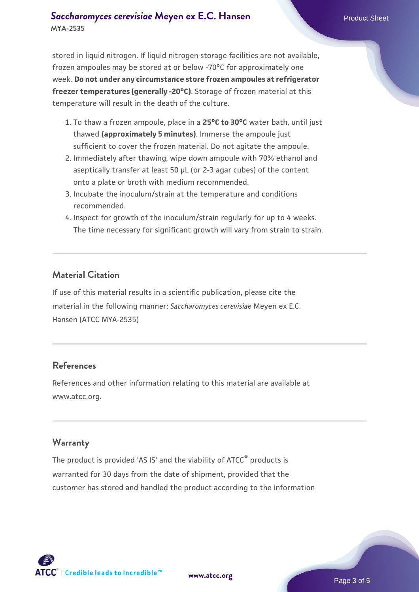## **[Saccharomyces cerevisiae](https://www.atcc.org/products/mya-2535)** [Meyen ex E.C. Hansen](https://www.atcc.org/products/mya-2535) **MYA-2535**

stored in liquid nitrogen. If liquid nitrogen storage facilities are not available, frozen ampoules may be stored at or below -70°C for approximately one week. **Do not under any circumstance store frozen ampoules at refrigerator freezer temperatures (generally -20°C)**. Storage of frozen material at this temperature will result in the death of the culture.

- 1. To thaw a frozen ampoule, place in a **25°C to 30°C** water bath, until just thawed **(approximately 5 minutes)**. Immerse the ampoule just sufficient to cover the frozen material. Do not agitate the ampoule.
- 2. Immediately after thawing, wipe down ampoule with 70% ethanol and aseptically transfer at least 50 µL (or 2-3 agar cubes) of the content onto a plate or broth with medium recommended.
- 3. Incubate the inoculum/strain at the temperature and conditions recommended.
- 4. Inspect for growth of the inoculum/strain regularly for up to 4 weeks. The time necessary for significant growth will vary from strain to strain.

## **Material Citation**

If use of this material results in a scientific publication, please cite the material in the following manner: *Saccharomyces cerevisiae* Meyen ex E.C. Hansen (ATCC MYA-2535)

### **References**

References and other information relating to this material are available at www.atcc.org.

#### **Warranty**

The product is provided 'AS IS' and the viability of ATCC® products is warranted for 30 days from the date of shipment, provided that the customer has stored and handled the product according to the information

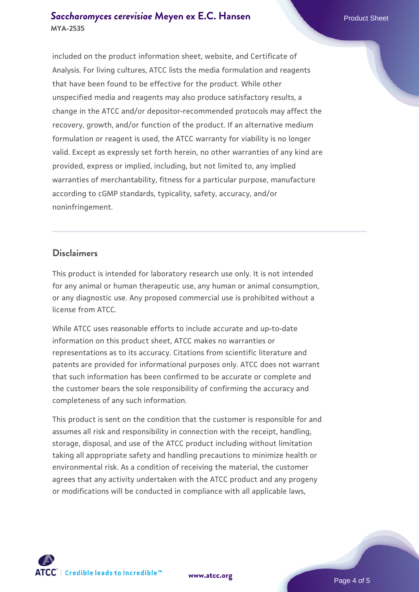## **[Saccharomyces cerevisiae](https://www.atcc.org/products/mya-2535)** [Meyen ex E.C. Hansen](https://www.atcc.org/products/mya-2535) **MYA-2535**

included on the product information sheet, website, and Certificate of Analysis. For living cultures, ATCC lists the media formulation and reagents that have been found to be effective for the product. While other unspecified media and reagents may also produce satisfactory results, a change in the ATCC and/or depositor-recommended protocols may affect the recovery, growth, and/or function of the product. If an alternative medium formulation or reagent is used, the ATCC warranty for viability is no longer valid. Except as expressly set forth herein, no other warranties of any kind are provided, express or implied, including, but not limited to, any implied warranties of merchantability, fitness for a particular purpose, manufacture according to cGMP standards, typicality, safety, accuracy, and/or noninfringement.

#### **Disclaimers**

This product is intended for laboratory research use only. It is not intended for any animal or human therapeutic use, any human or animal consumption, or any diagnostic use. Any proposed commercial use is prohibited without a license from ATCC.

While ATCC uses reasonable efforts to include accurate and up-to-date information on this product sheet, ATCC makes no warranties or representations as to its accuracy. Citations from scientific literature and patents are provided for informational purposes only. ATCC does not warrant that such information has been confirmed to be accurate or complete and the customer bears the sole responsibility of confirming the accuracy and completeness of any such information.

This product is sent on the condition that the customer is responsible for and assumes all risk and responsibility in connection with the receipt, handling, storage, disposal, and use of the ATCC product including without limitation taking all appropriate safety and handling precautions to minimize health or environmental risk. As a condition of receiving the material, the customer agrees that any activity undertaken with the ATCC product and any progeny or modifications will be conducted in compliance with all applicable laws,

**[www.atcc.org](http://www.atcc.org)**

Page 4 of 5